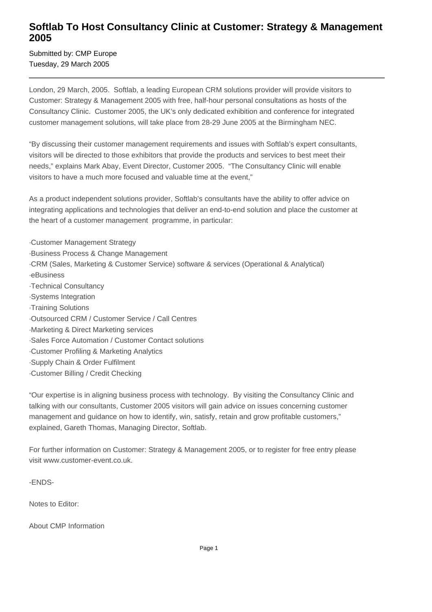## **Softlab To Host Consultancy Clinic at Customer: Strategy & Management 2005**

Submitted by: CMP Europe Tuesday, 29 March 2005

London, 29 March, 2005. Softlab, a leading European CRM solutions provider will provide visitors to Customer: Strategy & Management 2005 with free, half-hour personal consultations as hosts of the Consultancy Clinic. Customer 2005, the UK's only dedicated exhibition and conference for integrated customer management solutions, will take place from 28-29 June 2005 at the Birmingham NEC.

"By discussing their customer management requirements and issues with Softlab's expert consultants, visitors will be directed to those exhibitors that provide the products and services to best meet their needs," explains Mark Abay, Event Director, Customer 2005. "The Consultancy Clinic will enable visitors to have a much more focused and valuable time at the event,"

As a product independent solutions provider, Softlab's consultants have the ability to offer advice on integrating applications and technologies that deliver an end-to-end solution and place the customer at the heart of a customer management programme, in particular:

- · Customer Management Strategy
- · Business Process & Change Management
- · CRM (Sales, Marketing & Customer Service) software & services (Operational & Analytical)
- · eBusiness
- · Technical Consultancy
- · Systems Integration
- · Training Solutions
- · Outsourced CRM / Customer Service / Call Centres
- · Marketing & Direct Marketing services
- · Sales Force Automation / Customer Contact solutions
- · Customer Profiling & Marketing Analytics
- · Supply Chain & Order Fulfilment
- · Customer Billing / Credit Checking

"Our expertise is in aligning business process with technology. By visiting the Consultancy Clinic and talking with our consultants, Customer 2005 visitors will gain advice on issues concerning customer management and guidance on how to identify, win, satisfy, retain and grow profitable customers," explained, Gareth Thomas, Managing Director, Softlab.

For further information on Customer: Strategy & Management 2005, or to register for free entry please visit www.customer-event.co.uk.

-ENDS-

Notes to Editor:

About CMP Information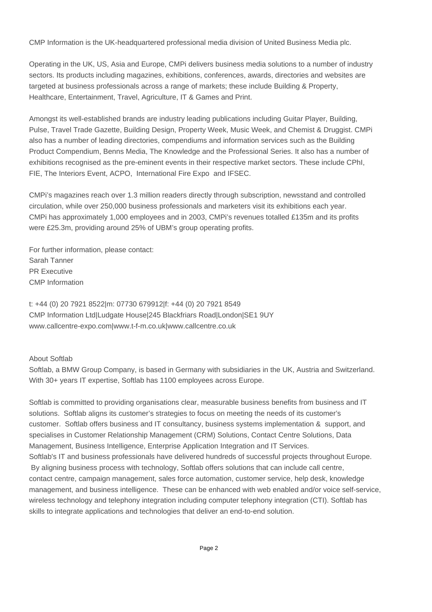CMP Information is the UK-headquartered professional media division of United Business Media plc.

Operating in the UK, US, Asia and Europe, CMPi delivers business media solutions to a number of industry sectors. Its products including magazines, exhibitions, conferences, awards, directories and websites are targeted at business professionals across a range of markets; these include Building & Property, Healthcare, Entertainment, Travel, Agriculture, IT & Games and Print.

Amongst its well-established brands are industry leading publications including Guitar Player, Building, Pulse, Travel Trade Gazette, Building Design, Property Week, Music Week, and Chemist & Druggist. CMPi also has a number of leading directories, compendiums and information services such as the Building Product Compendium, Benns Media, The Knowledge and the Professional Series. It also has a number of exhibitions recognised as the pre-eminent events in their respective market sectors. These include CPhI, FIE, The Interiors Event, ACPO, International Fire Expo and IFSEC.

CMPi's magazines reach over 1.3 million readers directly through subscription, newsstand and controlled circulation, while over 250,000 business professionals and marketers visit its exhibitions each year. CMPi has approximately 1,000 employees and in 2003, CMPi's revenues totalled £135m and its profits were £25.3m, providing around 25% of UBM's group operating profits.

For further information, please contact: Sarah Tanner PR Executive CMP Information

t: +44 (0) 20 7921 8522|m: 07730 679912|f: +44 (0) 20 7921 8549 CMP Information Ltd|Ludgate House|245 Blackfriars Road|London|SE1 9UY www.callcentre-expo.com|www.t-f-m.co.uk|www.callcentre.co.uk

About Softlab

Softlab, a BMW Group Company, is based in Germany with subsidiaries in the UK, Austria and Switzerland. With 30+ years IT expertise, Softlab has 1100 employees across Europe.

Softlab is committed to providing organisations clear, measurable business benefits from business and IT solutions. Softlab aligns its customer's strategies to focus on meeting the needs of its customer's customer. Softlab offers business and IT consultancy, business systems implementation & support, and specialises in Customer Relationship Management (CRM) Solutions, Contact Centre Solutions, Data Management, Business Intelligence, Enterprise Application Integration and IT Services. Softlab's IT and business professionals have delivered hundreds of successful projects throughout Europe. By aligning business process with technology, Softlab offers solutions that can include call centre, contact centre, campaign management, sales force automation, customer service, help desk, knowledge management, and business intelligence. These can be enhanced with web enabled and/or voice self-service, wireless technology and telephony integration including computer telephony integration (CTI). Softlab has skills to integrate applications and technologies that deliver an end-to-end solution.